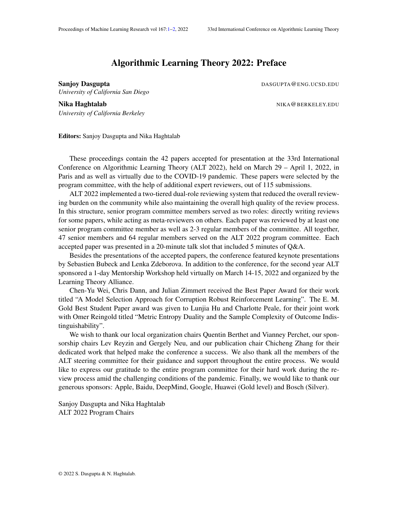## Algorithmic Learning Theory 2022: Preface

*University of California San Diego*

<span id="page-0-0"></span>Sanjoy Dasgupta **DASGUPTA@ENG.UCSD.EDU** 

Nika Haghtalab NIKA@BERKELEY.EDU *University of California Berkeley*

Editors: Sanjoy Dasgupta and Nika Haghtalab

These proceedings contain the 42 papers accepted for presentation at the 33rd International Conference on Algorithmic Learning Theory (ALT 2022), held on March 29 – April 1, 2022, in Paris and as well as virtually due to the COVID-19 pandemic. These papers were selected by the program committee, with the help of additional expert reviewers, out of 115 submissions.

ALT 2022 implemented a two-tiered dual-role reviewing system that reduced the overall reviewing burden on the community while also maintaining the overall high quality of the review process. In this structure, senior program committee members served as two roles: directly writing reviews for some papers, while acting as meta-reviewers on others. Each paper was reviewed by at least one senior program committee member as well as 2-3 regular members of the committee. All together, 47 senior members and 64 regular members served on the ALT 2022 program committee. Each accepted paper was presented in a 20-minute talk slot that included 5 minutes of Q&A.

Besides the presentations of the accepted papers, the conference featured keynote presentations by Sebastien Bubeck and Lenka Zdeborova. In addition to the conference, for the second year ALT sponsored a 1-day Mentorship Workshop held virtually on March 14-15, 2022 and organized by the Learning Theory Alliance.

Chen-Yu Wei, Chris Dann, and Julian Zimmert received the Best Paper Award for their work titled "A Model Selection Approach for Corruption Robust Reinforcement Learning". The E. M. Gold Best Student Paper award was given to Lunjia Hu and Charlotte Peale, for their joint work with Omer Reingold titled "Metric Entropy Duality and the Sample Complexity of Outcome Indistinguishability".

We wish to thank our local organization chairs Quentin Berthet and Vianney Perchet, our sponsorship chairs Lev Reyzin and Gergely Neu, and our publication chair Chicheng Zhang for their dedicated work that helped make the conference a success. We also thank all the members of the ALT steering committee for their guidance and support throughout the entire process. We would like to express our gratitude to the entire program committee for their hard work during the review process amid the challenging conditions of the pandemic. Finally, we would like to thank our generous sponsors: Apple, Baidu, DeepMind, Google, Huawei (Gold level) and Bosch (Silver).

Sanjoy Dasgupta and Nika Haghtalab ALT 2022 Program Chairs